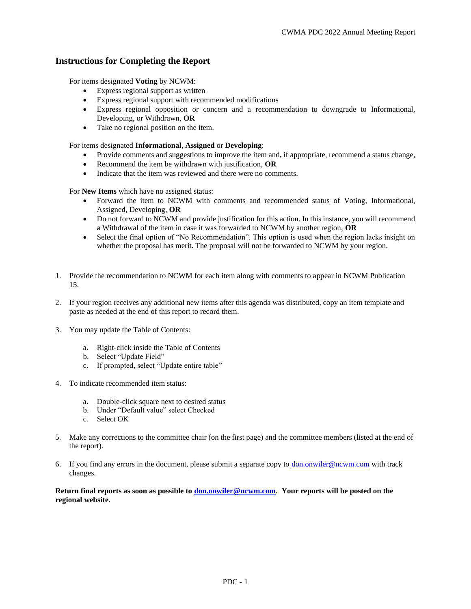#### **Instructions for Completing the Report**

For items designated **Voting** by NCWM:

- Express regional support as written
- Express regional support with recommended modifications
- Express regional opposition or concern and a recommendation to downgrade to Informational, Developing, or Withdrawn, **OR**
- Take no regional position on the item.

For items designated **Informational**, **Assigned** or **Developing**:

- Provide comments and suggestions to improve the item and, if appropriate, recommend a status change,
- Recommend the item be withdrawn with justification, **OR**
- Indicate that the item was reviewed and there were no comments.

For **New Items** which have no assigned status:

- Forward the item to NCWM with comments and recommended status of Voting, Informational, Assigned, Developing, **OR**
- Do not forward to NCWM and provide justification for this action. In this instance, you will recommend a Withdrawal of the item in case it was forwarded to NCWM by another region, **OR**
- Select the final option of "No Recommendation". This option is used when the region lacks insight on whether the proposal has merit. The proposal will not be forwarded to NCWM by your region.
- 1. Provide the recommendation to NCWM for each item along with comments to appear in NCWM Publication 15.
- 2. If your region receives any additional new items after this agenda was distributed, copy an item template and paste as needed at the end of this report to record them.
- 3. You may update the Table of Contents:
	- a. Right-click inside the Table of Contents
	- b. Select "Update Field"
	- c. If prompted, select "Update entire table"
- 4. To indicate recommended item status:
	- a. Double-click square next to desired status
	- b. Under "Default value" select Checked
	- c. Select OK
- 5. Make any corrections to the committee chair (on the first page) and the committee members (listed at the end of the report).
- 6. If you find any errors in the document, please submit a separate copy to  $\underline{\text{don}}.\text{onwiler@ncwm.com}$  with track changes.

Return final reports as soon as possible to **<u>don.onwiler@ncwm.com</u>.** Your reports will be posted on the **regional website.**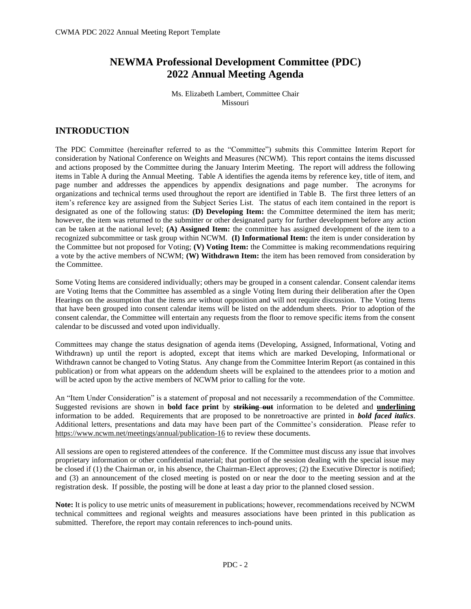## **NEWMA Professional Development Committee (PDC) 2022 Annual Meeting Agenda**

Ms. Elizabeth Lambert, Committee Chair Missouri

## **INTRODUCTION**

The PDC Committee (hereinafter referred to as the "Committee") submits this Committee Interim Report for consideration by National Conference on Weights and Measures (NCWM). This report contains the items discussed and actions proposed by the Committee during the January Interim Meeting. The report will address the following items in Table A during the Annual Meeting. Table A identifies the agenda items by reference key, title of item, and page number and addresses the appendices by appendix designations and page number. The acronyms for organizations and technical terms used throughout the report are identified in Table B. The first three letters of an item's reference key are assigned from the Subject Series List. The status of each item contained in the report is designated as one of the following status: **(D) Developing Item:** the Committee determined the item has merit; however, the item was returned to the submitter or other designated party for further development before any action can be taken at the national level; **(A) Assigned Item:** the committee has assigned development of the item to a recognized subcommittee or task group within NCWM. **(I) Informational Item:** the item is under consideration by the Committee but not proposed for Voting; **(V) Voting Item:** the Committee is making recommendations requiring a vote by the active members of NCWM; **(W) Withdrawn Item:** the item has been removed from consideration by the Committee.

Some Voting Items are considered individually; others may be grouped in a consent calendar. Consent calendar items are Voting Items that the Committee has assembled as a single Voting Item during their deliberation after the Open Hearings on the assumption that the items are without opposition and will not require discussion. The Voting Items that have been grouped into consent calendar items will be listed on the addendum sheets. Prior to adoption of the consent calendar, the Committee will entertain any requests from the floor to remove specific items from the consent calendar to be discussed and voted upon individually.

Committees may change the status designation of agenda items (Developing, Assigned, Informational, Voting and Withdrawn) up until the report is adopted, except that items which are marked Developing, Informational or Withdrawn cannot be changed to Voting Status. Any change from the Committee Interim Report (as contained in this publication) or from what appears on the addendum sheets will be explained to the attendees prior to a motion and will be acted upon by the active members of NCWM prior to calling for the vote.

An "Item Under Consideration" is a statement of proposal and not necessarily a recommendation of the Committee. Suggested revisions are shown in **bold face print** by **striking out** information to be deleted and **underlining** information to be added. Requirements that are proposed to be nonretroactive are printed in *bold faced italics*. Additional letters, presentations and data may have been part of the Committee's consideration. Please refer to <https://www.ncwm.net/meetings/annual/publication-16> to review these documents.

All sessions are open to registered attendees of the conference. If the Committee must discuss any issue that involves proprietary information or other confidential material; that portion of the session dealing with the special issue may be closed if (1) the Chairman or, in his absence, the Chairman-Elect approves; (2) the Executive Director is notified; and (3) an announcement of the closed meeting is posted on or near the door to the meeting session and at the registration desk. If possible, the posting will be done at least a day prior to the planned closed session.

**Note:** It is policy to use metric units of measurement in publications; however, recommendations received by NCWM technical committees and regional weights and measures associations have been printed in this publication as submitted. Therefore, the report may contain references to inch-pound units.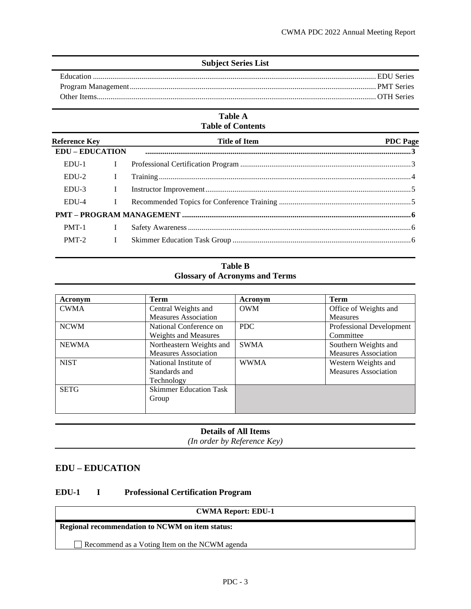| <b>Subject Series List</b> |  |
|----------------------------|--|
|                            |  |
|                            |  |
|                            |  |
|                            |  |

#### **Table A Table of Contents**

| <b>Reference Key</b>   |   | <b>Title of Item</b> | <b>PDC</b> Page |
|------------------------|---|----------------------|-----------------|
| <b>EDU – EDUCATION</b> |   |                      |                 |
| $EDU-1$                | L |                      |                 |
| $EDU-2$                | L |                      |                 |
| EDU-3                  | L |                      |                 |
| EDU-4                  |   |                      |                 |
|                        |   |                      |                 |
| PMT-1                  |   |                      |                 |
| $PMT-2$                | L |                      |                 |

#### **Table B Glossary of Acronyms and Terms**

| Acronym      | Term                          | Acronym     | Term                        |
|--------------|-------------------------------|-------------|-----------------------------|
| <b>CWMA</b>  | Central Weights and           | <b>OWM</b>  | Office of Weights and       |
|              | <b>Measures Association</b>   |             | <b>Measures</b>             |
| <b>NCWM</b>  | National Conference on        | PDC         | Professional Development    |
|              | <b>Weights and Measures</b>   |             | Committee                   |
| <b>NEWMA</b> | Northeastern Weights and      | <b>SWMA</b> | Southern Weights and        |
|              | <b>Measures Association</b>   |             | <b>Measures Association</b> |
| <b>NIST</b>  | National Institute of         | <b>WWMA</b> | Western Weights and         |
|              | Standards and                 |             | <b>Measures Association</b> |
|              | Technology                    |             |                             |
| <b>SETG</b>  | <b>Skimmer Education Task</b> |             |                             |
|              | Group                         |             |                             |
|              |                               |             |                             |

## **Details of All Items**

*(In order by Reference Key)*

### <span id="page-2-0"></span>**EDU – EDUCATION**

### <span id="page-2-1"></span>**EDU-1 I Professional Certification Program**

## **CWMA Report: EDU-1**

**Regional recommendation to NCWM on item status:**

Recommend as a Voting Item on the NCWM agenda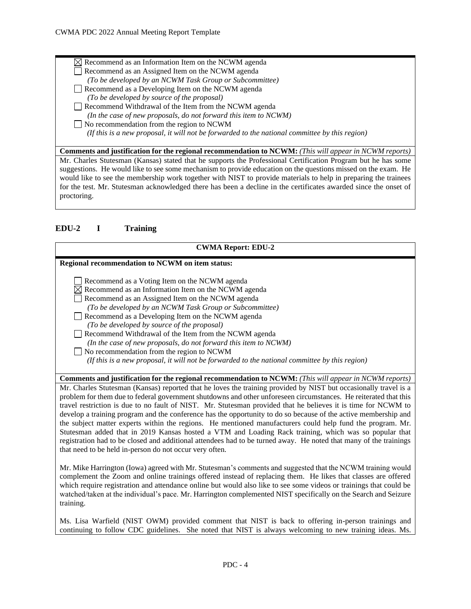$\boxtimes$  Recommend as an Information Item on the NCWM agenda Recommend as an Assigned Item on the NCWM agenda *(To be developed by an NCWM Task Group or Subcommittee)* Recommend as a Developing Item on the NCWM agenda *(To be developed by source of the proposal)*  Recommend Withdrawal of the Item from the NCWM agenda *(In the case of new proposals, do not forward this item to NCWM)* No recommendation from the region to NCWM  *(If this is a new proposal, it will not be forwarded to the national committee by this region)* **Comments and justification for the regional recommendation to NCWM:** *(This will appear in NCWM reports)*

Mr. Charles Stutesman (Kansas) stated that he supports the Professional Certification Program but he has some suggestions. He would like to see some mechanism to provide education on the questions missed on the exam. He would like to see the membership work together with NIST to provide materials to help in preparing the trainees for the test. Mr. Stutesman acknowledged there has been a decline in the certificates awarded since the onset of proctoring.

## <span id="page-3-0"></span>**EDU-2 I Training**

| <b>CWMA Report: EDU-2</b>                                                                                        |  |  |
|------------------------------------------------------------------------------------------------------------------|--|--|
| Regional recommendation to NCWM on item status:                                                                  |  |  |
| Recommend as a Voting Item on the NCWM agenda<br>$\boxtimes$ Recommend as an Information Item on the NCWM agenda |  |  |
| Recommend as an Assigned Item on the NCWM agenda                                                                 |  |  |
| (To be developed by an NCWM Task Group or Subcommittee)                                                          |  |  |
| Recommend as a Developing Item on the NCWM agenda                                                                |  |  |
| (To be developed by source of the proposal)                                                                      |  |  |
| Recommend Withdrawal of the Item from the NCWM agenda                                                            |  |  |
| (In the case of new proposals, do not forward this item to NCWM)                                                 |  |  |
| No recommendation from the region to NCWM                                                                        |  |  |
| (If this is a new proposal, it will not be forwarded to the national committee by this region)                   |  |  |
|                                                                                                                  |  |  |
| <b>Comments and justification for the regional recommendation to NCWM:</b> (This will appear in NCWM reports)    |  |  |
| Mr. Charles Stutesman (Kansas) reported that he loves the training provided by NIST but occasionally travel is a |  |  |
| problem for them due to federal government shutdowns and other unforeseen circumstances. He reiterated that this |  |  |
| travel restriction is due to no fault of NIST. Mr. Stutesman provided that he believes it is time for NCWM to    |  |  |
| develop a training program and the conference has the opportunity to do so because of the active membership and  |  |  |
| the subject matter experts within the regions. He mentioned manufacturers could help fund the program. Mr.       |  |  |

Stutesman added that in 2019 Kansas hosted a VTM and Loading Rack training, which was so popular that registration had to be closed and additional attendees had to be turned away. He noted that many of the trainings that need to be held in-person do not occur very often.

Mr. Mike Harrington (Iowa) agreed with Mr. Stutesman's comments and suggested that the NCWM training would complement the Zoom and online trainings offered instead of replacing them. He likes that classes are offered which require registration and attendance online but would also like to see some videos or trainings that could be watched/taken at the individual's pace. Mr. Harrington complemented NIST specifically on the Search and Seizure training.

Ms. Lisa Warfield (NIST OWM) provided comment that NIST is back to offering in-person trainings and continuing to follow CDC guidelines. She noted that NIST is always welcoming to new training ideas. Ms.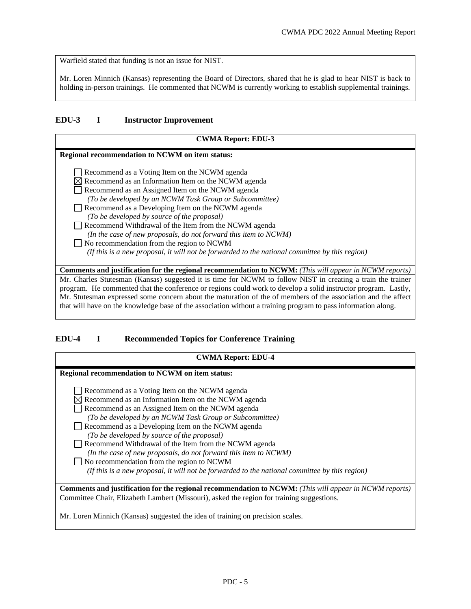Warfield stated that funding is not an issue for NIST.

Mr. Loren Minnich (Kansas) representing the Board of Directors, shared that he is glad to hear NIST is back to holding in-person trainings. He commented that NCWM is currently working to establish supplemental trainings.

#### <span id="page-4-0"></span>**EDU-3 I Instructor Improvement**

| <b>CWMA Report: EDU-3</b>                                                                                                                                                                                                                                                                                                                                                                                                                                                                                     |  |  |
|---------------------------------------------------------------------------------------------------------------------------------------------------------------------------------------------------------------------------------------------------------------------------------------------------------------------------------------------------------------------------------------------------------------------------------------------------------------------------------------------------------------|--|--|
| Regional recommendation to NCWM on item status:                                                                                                                                                                                                                                                                                                                                                                                                                                                               |  |  |
| Recommend as a Voting Item on the NCWM agenda<br>$\boxtimes$ Recommend as an Information Item on the NCWM agenda<br>Recommend as an Assigned Item on the NCWM agenda<br>(To be developed by an NCWM Task Group or Subcommittee)<br>Recommend as a Developing Item on the NCWM agenda<br>(To be developed by source of the proposal)<br>Recommend Withdrawal of the Item from the NCWM agenda<br>(In the case of new proposals, do not forward this item to NCWM)<br>No recommendation from the region to NCWM |  |  |
| (If this is a new proposal, it will not be forwarded to the national committee by this region)                                                                                                                                                                                                                                                                                                                                                                                                                |  |  |
| <b>Comments and justification for the regional recommendation to NCWM:</b> (This will appear in NCWM reports)                                                                                                                                                                                                                                                                                                                                                                                                 |  |  |
| Mr. Charles Stutesman (Kansas) suggested it is time for NCWM to follow NIST in creating a train the trainer<br>program. He commented that the conference or regions could work to develop a solid instructor program. Lastly,<br>Mr. Stutesman expressed some concern about the maturation of the of members of the association and the affect<br>that will have on the knowledge base of the association without a training program to pass information along.                                               |  |  |

## <span id="page-4-1"></span>**EDU-4 I Recommended Topics for Conference Training**

| <b>CWMA Report: EDU-4</b>                                                                                     |  |  |
|---------------------------------------------------------------------------------------------------------------|--|--|
| Regional recommendation to NCWM on item status:                                                               |  |  |
| Recommend as a Voting Item on the NCWM agenda                                                                 |  |  |
| Recommend as an Information Item on the NCWM agenda                                                           |  |  |
| Recommend as an Assigned Item on the NCWM agenda                                                              |  |  |
| (To be developed by an NCWM Task Group or Subcommittee)                                                       |  |  |
| Recommend as a Developing Item on the NCWM agenda                                                             |  |  |
| (To be developed by source of the proposal)                                                                   |  |  |
| Recommend Withdrawal of the Item from the NCWM agenda                                                         |  |  |
| (In the case of new proposals, do not forward this item to NCWM)                                              |  |  |
| No recommendation from the region to NCWM                                                                     |  |  |
| (If this is a new proposal, it will not be forwarded to the national committee by this region)                |  |  |
| <b>Comments and justification for the regional recommendation to NCWM:</b> (This will appear in NCWM reports) |  |  |
| Committee Chair, Elizabeth Lambert (Missouri), asked the region for training suggestions.                     |  |  |
| Mr. Loren Minnich (Kansas) suggested the idea of training on precision scales.                                |  |  |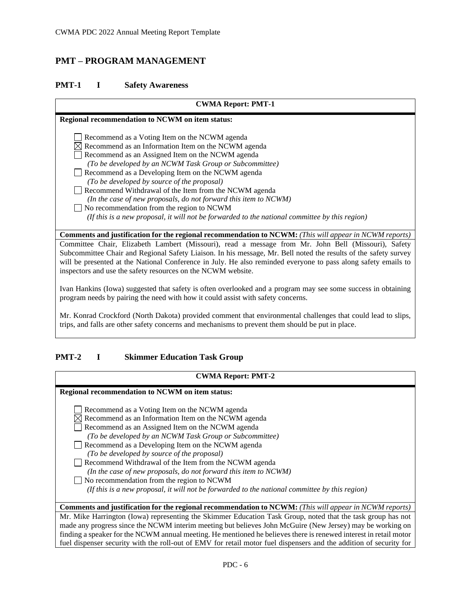## <span id="page-5-0"></span>**PMT – PROGRAM MANAGEMENT**

#### <span id="page-5-1"></span>**PMT-1 I Safety Awareness**

## **CWMA Report: PMT-1 Regional recommendation to NCWM on item status:** Recommend as a Voting Item on the NCWM agenda  $\boxtimes$  Recommend as an Information Item on the NCWM agenda Recommend as an Assigned Item on the NCWM agenda *(To be developed by an NCWM Task Group or Subcommittee)* Recommend as a Developing Item on the NCWM agenda *(To be developed by source of the proposal)*  Recommend Withdrawal of the Item from the NCWM agenda *(In the case of new proposals, do not forward this item to NCWM)* No recommendation from the region to NCWM  *(If this is a new proposal, it will not be forwarded to the national committee by this region)* **Comments and justification for the regional recommendation to NCWM:** *(This will appear in NCWM reports)* Committee Chair, Elizabeth Lambert (Missouri), read a message from Mr. John Bell (Missouri), Safety Subcommittee Chair and Regional Safety Liaison. In his message, Mr. Bell noted the results of the safety survey will be presented at the National Conference in July. He also reminded everyone to pass along safety emails to inspectors and use the safety resources on the NCWM website.

Ivan Hankins (Iowa) suggested that safety is often overlooked and a program may see some success in obtaining program needs by pairing the need with how it could assist with safety concerns.

Mr. Konrad Crockford (North Dakota) provided comment that environmental challenges that could lead to slips, trips, and falls are other safety concerns and mechanisms to prevent them should be put in place.

### <span id="page-5-2"></span>**PMT-2 I Skimmer Education Task Group**

#### **CWMA Report: PMT-2**

| Regional recommendation to NCWM on item status:                                                                    |
|--------------------------------------------------------------------------------------------------------------------|
| Recommend as a Voting Item on the NCWM agenda                                                                      |
| $\boxtimes$ Recommend as an Information Item on the NCWM agenda                                                    |
| Recommend as an Assigned Item on the NCWM agenda                                                                   |
| (To be developed by an NCWM Task Group or Subcommittee)                                                            |
| Recommend as a Developing Item on the NCWM agenda                                                                  |
| (To be developed by source of the proposal)                                                                        |
| Recommend Withdrawal of the Item from the NCWM agenda                                                              |
| (In the case of new proposals, do not forward this item to NCWM)                                                   |
| $\Box$ No recommendation from the region to NCWM                                                                   |
| (If this is a new proposal, it will not be forwarded to the national committee by this region)                     |
|                                                                                                                    |
| <b>Comments and justification for the regional recommendation to NCWM:</b> (This will appear in NCWM reports)      |
| Mr. Mike Harrington (Iowa) representing the Skimmer Education Task Group, noted that the task group has not        |
| made any progress since the NCWM interim meeting but believes John McGuire (New Jersey) may be working on          |
| finding a speaker for the NCWM annual meeting. He mentioned he believes there is renewed interest in retail motor  |
| fuel dispenser security with the roll-out of EMV for retail motor fuel dispensers and the addition of security for |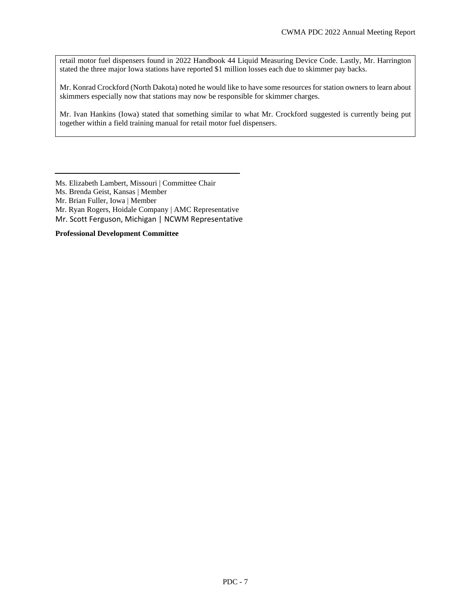retail motor fuel dispensers found in 2022 Handbook 44 Liquid Measuring Device Code. Lastly, Mr. Harrington stated the three major Iowa stations have reported \$1 million losses each due to skimmer pay backs.

Mr. Konrad Crockford (North Dakota) noted he would like to have some resources for station owners to learn about skimmers especially now that stations may now be responsible for skimmer charges.

Mr. Ivan Hankins (Iowa) stated that something similar to what Mr. Crockford suggested is currently being put together within a field training manual for retail motor fuel dispensers.

Ms. Elizabeth Lambert, Missouri | Committee Chair

Ms. Brenda Geist, Kansas | Member

Mr. Brian Fuller, Iowa | Member

Mr. Ryan Rogers, Hoidale Company | AMC Representative

Mr. Scott Ferguson, Michigan | NCWM Representative

**Professional Development Committee**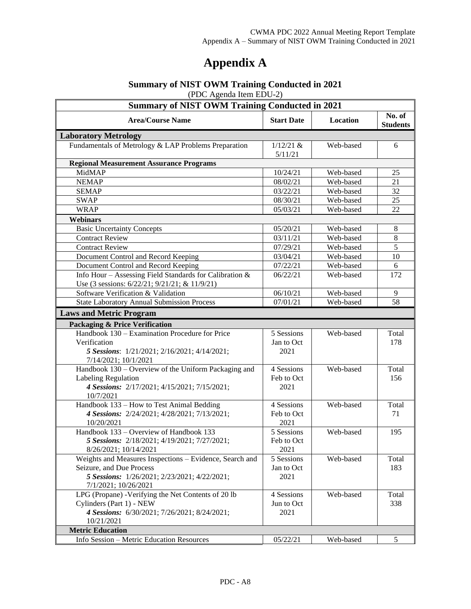# **Appendix A**

#### **Summary of NIST OWM Training Conducted in 2021** (PDC Agenda Item EDU-2)

| $(120 - 1)$<br><b>Summary of NIST OWM Training Conducted in 2021</b>                                     |                        |           |                           |
|----------------------------------------------------------------------------------------------------------|------------------------|-----------|---------------------------|
| <b>Area/Course Name</b>                                                                                  | <b>Start Date</b>      | Location  | No. of<br><b>Students</b> |
| <b>Laboratory Metrology</b>                                                                              |                        |           |                           |
| Fundamentals of Metrology & LAP Problems Preparation                                                     | $1/12/21$ &<br>5/11/21 | Web-based | 6                         |
| <b>Regional Measurement Assurance Programs</b>                                                           |                        |           |                           |
| MidMAP                                                                                                   | 10/24/21               | Web-based | 25                        |
| <b>NEMAP</b>                                                                                             | 08/02/21               | Web-based | 21                        |
| <b>SEMAP</b>                                                                                             | 03/22/21               | Web-based | 32                        |
| <b>SWAP</b>                                                                                              | 08/30/21               | Web-based | 25                        |
| <b>WRAP</b>                                                                                              | 05/03/21               | Web-based | 22                        |
| <b>Webinars</b>                                                                                          |                        |           |                           |
| <b>Basic Uncertainty Concepts</b>                                                                        | 05/20/21               | Web-based | $\,8\,$                   |
| <b>Contract Review</b>                                                                                   | 03/11/21               | Web-based | $\,8\,$                   |
| <b>Contract Review</b>                                                                                   | 07/29/21               | Web-based | 5                         |
| Document Control and Record Keeping                                                                      | 03/04/21               | Web-based | 10                        |
| Document Control and Record Keeping                                                                      | 07/22/21               | Web-based | 6                         |
| Info Hour - Assessing Field Standards for Calibration &<br>Use (3 sessions: 6/22/21; 9/21/21; & 11/9/21) | 06/22/21               | Web-based | 172                       |
| Software Verification & Validation                                                                       | 06/10/21               | Web-based | 9                         |
| <b>State Laboratory Annual Submission Process</b>                                                        | 07/01/21               | Web-based | 58                        |
| <b>Laws and Metric Program</b>                                                                           |                        |           |                           |
|                                                                                                          |                        |           |                           |
| <b>Packaging &amp; Price Verification</b>                                                                |                        |           |                           |
| Handbook 130 – Examination Procedure for Price                                                           | 5 Sessions             | Web-based | Total                     |
| Verification                                                                                             | Jan to Oct             |           | 178                       |
| 5 Sessions: 1/21/2021; 2/16/2021; 4/14/2021;<br>7/14/2021; 10/1/2021                                     | 2021                   |           |                           |
| Handbook 130 - Overview of the Uniform Packaging and                                                     | 4 Sessions             | Web-based | Total                     |
| Labeling Regulation                                                                                      | Feb to Oct             |           | 156                       |
| 4 Sessions: 2/17/2021; 4/15/2021; 7/15/2021;                                                             | 2021                   |           |                           |
| 10/7/2021                                                                                                |                        |           |                           |
| Handbook 133 - How to Test Animal Bedding                                                                | 4 Sessions             | Web-based | Total                     |
| 4 Sessions: 2/24/2021; 4/28/2021; 7/13/2021;                                                             | Feb to Oct             |           | 71                        |
| 10/20/2021                                                                                               | 2021                   |           |                           |
| Handbook 133 – Overview of Handbook 133                                                                  | 5 Sessions             | Web-based | 195                       |
| 5 Sessions: 2/18/2021; 4/19/2021; 7/27/2021;                                                             | Feb to Oct             |           |                           |
| 8/26/2021; 10/14/2021                                                                                    | 2021                   |           |                           |
| Weights and Measures Inspections - Evidence, Search and                                                  | 5 Sessions             | Web-based | Total                     |
| Seizure, and Due Process                                                                                 | Jan to Oct             |           | 183                       |
| 5 Sessions: 1/26/2021; 2/23/2021; 4/22/2021;                                                             | 2021                   |           |                           |
| 7/1/2021; 10/26/2021<br>LPG (Propane) - Verifying the Net Contents of 20 lb                              | 4 Sessions             | Web-based | Total                     |
| Cylinders (Part 1) - NEW                                                                                 | Jun to Oct             |           | 338                       |
|                                                                                                          | 2021                   |           |                           |
| 4 Sessions: 6/30/2021; 7/26/2021; 8/24/2021;<br>10/21/2021                                               |                        |           |                           |
| <b>Metric Education</b>                                                                                  |                        |           |                           |
| Info Session - Metric Education Resources                                                                | 05/22/21               | Web-based | 5                         |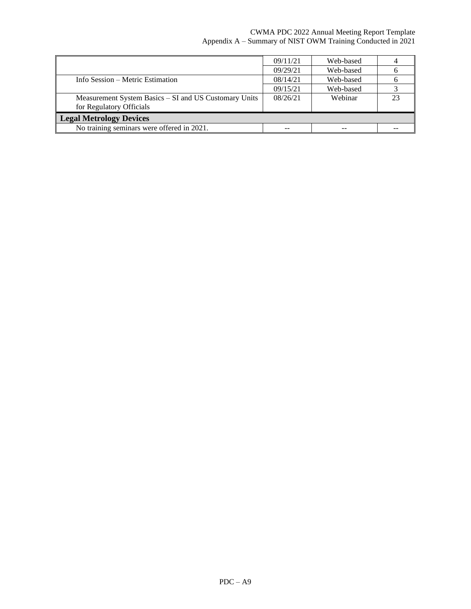### CWMA PDC 2022 Annual Meeting Report Template Appendix A – Summary of NIST OWM Training Conducted in 2021

|                                                       | 09/11/21 | Web-based |  |
|-------------------------------------------------------|----------|-----------|--|
|                                                       | 09/29/21 | Web-based |  |
| Info Session – Metric Estimation                      | 08/14/21 | Web-based |  |
|                                                       | 09/15/21 | Web-based |  |
| Measurement System Basics – SI and US Customary Units | 08/26/21 | Webinar   |  |
| for Regulatory Officials                              |          |           |  |
| <b>Legal Metrology Devices</b>                        |          |           |  |
| No training seminars were offered in 2021.            |          |           |  |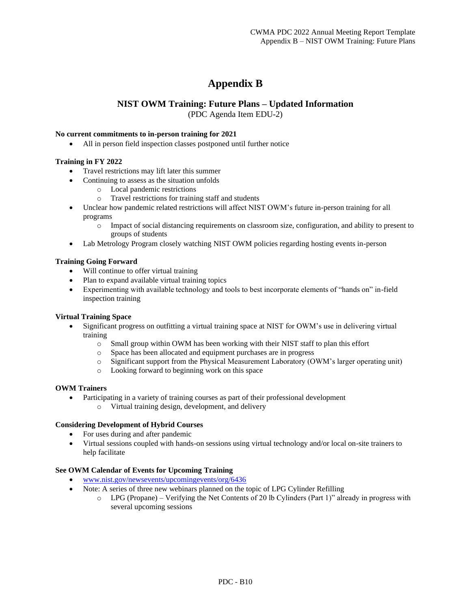## **Appendix B**

### **NIST OWM Training: Future Plans – Updated Information**

(PDC Agenda Item EDU-2)

#### **No current commitments to in-person training for 2021**

• All in person field inspection classes postponed until further notice

#### **Training in FY 2022**

- Travel restrictions may lift later this summer
- Continuing to assess as the situation unfolds
	- o Local pandemic restrictions
	- o Travel restrictions for training staff and students
- Unclear how pandemic related restrictions will affect NIST OWM's future in-person training for all programs
	- o Impact of social distancing requirements on classroom size, configuration, and ability to present to groups of students
- Lab Metrology Program closely watching NIST OWM policies regarding hosting events in-person

#### **Training Going Forward**

- Will continue to offer virtual training
- Plan to expand available virtual training topics
- Experimenting with available technology and tools to best incorporate elements of "hands on" in-field inspection training

#### **Virtual Training Space**

- Significant progress on outfitting a virtual training space at NIST for OWM's use in delivering virtual training
	- o Small group within OWM has been working with their NIST staff to plan this effort
	- o Space has been allocated and equipment purchases are in progress
	- o Significant support from the Physical Measurement Laboratory (OWM's larger operating unit)
	- o Looking forward to beginning work on this space

#### **OWM Trainers**

- Participating in a variety of training courses as part of their professional development
	- o Virtual training design, development, and delivery

#### **Considering Development of Hybrid Courses**

- For uses during and after pandemic
- Virtual sessions coupled with hands-on sessions using virtual technology and/or local on-site trainers to help facilitate

#### **See OWM Calendar of Events for Upcoming Training**

- [www.nist.gov/newsevents/upcomingevents/org/6436](http://www.nist.gov/newsevents/upcomingevents/org/6436)
- Note: A series of three new webinars planned on the topic of LPG Cylinder Refilling
	- $\circ$  LPG (Propane) Verifying the Net Contents of 20 lb Cylinders (Part 1)" already in progress with several upcoming sessions